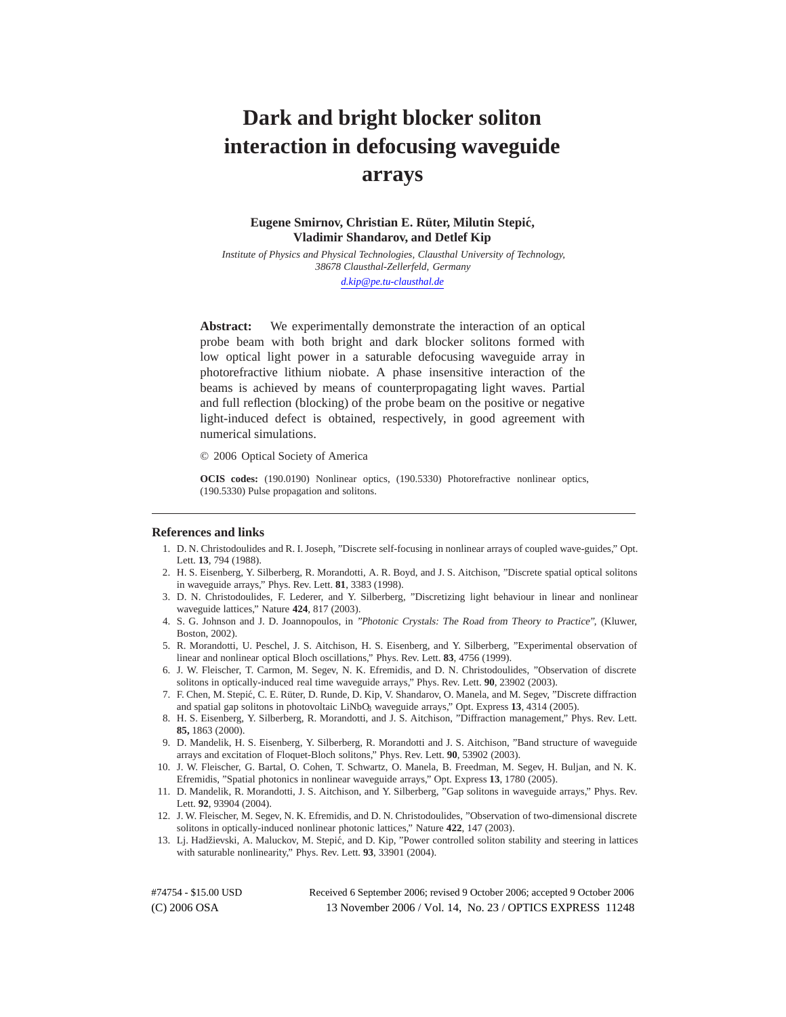# **Dark and bright blocker soliton interaction in defocusing waveguide arrays**

## Eugene Smirnov, Christian E. Rüter, Milutin Stepić, **Vladimir Shandarov, and Detlef Kip**

*Institute of Physics and Physical Technologies, Clausthal University of Technology, 38678 Clausthal-Zellerfeld, Germany*

*d.kip@pe.tu-clausthal.de*

**Abstract:** We experimentally demonstrate the interaction of an optical probe beam with both bright and dark blocker solitons formed with low optical light power in a saturable defocusing waveguide array in photorefractive lithium niobate. A phase insensitive interaction of the beams is achieved by means of counterpropagating light waves. Partial and full reflection (blocking) of the probe beam on the positive or negative light-induced defect is obtained, respectively, in good agreement with numerical simulations.

© 2006 Optical Society of America

**OCIS codes:** (190.0190) Nonlinear optics, (190.5330) Photorefractive nonlinear optics, (190.5330) Pulse propagation and solitons.

#### **References and links**

- 1. D. N. Christodoulides and R. I. Joseph, "Discrete self-focusing in nonlinear arrays of coupled wave-guides," Opt. Lett. **13**, 794 (1988).
- 2. H. S. Eisenberg, Y. Silberberg, R. Morandotti, A. R. Boyd, and J. S. Aitchison, "Discrete spatial optical solitons in waveguide arrays," Phys. Rev. Lett. **81**, 3383 (1998).
- 3. D. N. Christodoulides, F. Lederer, and Y. Silberberg, "Discretizing light behaviour in linear and nonlinear waveguide lattices," Nature **424**, 817 (2003).
- 4. S. G. Johnson and J. D. Joannopoulos, in "Photonic Crystals: The Road from Theory to Practice", (Kluwer, Boston, 2002).
- 5. R. Morandotti, U. Peschel, J. S. Aitchison, H. S. Eisenberg, and Y. Silberberg, "Experimental observation of linear and nonlinear optical Bloch oscillations," Phys. Rev. Lett. **83**, 4756 (1999).
- 6. J. W. Fleischer, T. Carmon, M. Segev, N. K. Efremidis, and D. N. Christodoulides, "Observation of discrete solitons in optically-induced real time waveguide arrays," Phys. Rev. Lett. **90**, 23902 (2003).
- 7. F. Chen, M. Stepić, C. E. Rüter, D. Runde, D. Kip, V. Shandarov, O. Manela, and M. Segev, "Discrete diffraction and spatial gap solitons in photovoltaic LiNbO<sub>3</sub> waveguide arrays," Opt. Express 13, 4314 (2005).
- 8. H. S. Eisenberg, Y. Silberberg, R. Morandotti, and J. S. Aitchison, "Diffraction management," Phys. Rev. Lett. **85,** 1863 (2000).
- 9. D. Mandelik, H. S. Eisenberg, Y. Silberberg, R. Morandotti and J. S. Aitchison, "Band structure of waveguide arrays and excitation of Floquet-Bloch solitons," Phys. Rev. Lett. **90**, 53902 (2003).
- 10. J. W. Fleischer, G. Bartal, O. Cohen, T. Schwartz, O. Manela, B. Freedman, M. Segev, H. Buljan, and N. K. Efremidis, "Spatial photonics in nonlinear waveguide arrays," Opt. Express **13**, 1780 (2005).
- 11. D. Mandelik, R. Morandotti, J. S. Aitchison, and Y. Silberberg, "Gap solitons in waveguide arrays," Phys. Rev. Lett. **92**, 93904 (2004).
- 12. J. W. Fleischer, M. Segev, N. K. Efremidis, and D. N. Christodoulides, "Observation of two-dimensional discrete solitons in optically-induced nonlinear photonic lattices," Nature **422**, 147 (2003).
- 13. Lj. Hadžievski, A. Maluckov, M. Stepić, and D. Kip, "Power controlled soliton stability and steering in lattices with saturable nonlinearity," Phys. Rev. Lett. **93**, 33901 (2004).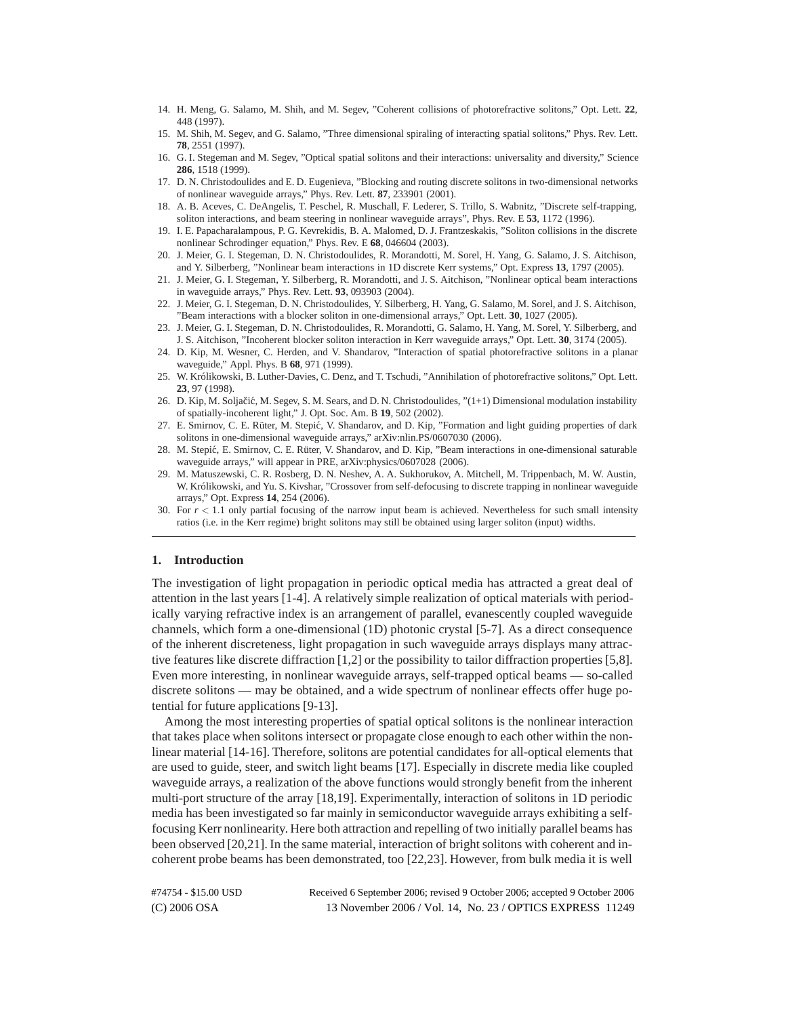- 14. H. Meng, G. Salamo, M. Shih, and M. Segev, "Coherent collisions of photorefractive solitons," Opt. Lett. **22**, 448 (1997).
- 15. M. Shih, M. Segev, and G. Salamo, "Three dimensional spiraling of interacting spatial solitons," Phys. Rev. Lett. **78**, 2551 (1997).
- 16. G. I. Stegeman and M. Segev, "Optical spatial solitons and their interactions: universality and diversity," Science **286**, 1518 (1999).
- 17. D. N. Christodoulides and E. D. Eugenieva, "Blocking and routing discrete solitons in two-dimensional networks of nonlinear waveguide arrays," Phys. Rev. Lett. **87**, 233901 (2001).
- 18. A. B. Aceves, C. DeAngelis, T. Peschel, R. Muschall, F. Lederer, S. Trillo, S. Wabnitz, "Discrete self-trapping, soliton interactions, and beam steering in nonlinear waveguide arrays", Phys. Rev. E **53**, 1172 (1996).
- 19. I. E. Papacharalampous, P. G. Kevrekidis, B. A. Malomed, D. J. Frantzeskakis, "Soliton collisions in the discrete nonlinear Schrodinger equation," Phys. Rev. E **68**, 046604 (2003).
- 20. J. Meier, G. I. Stegeman, D. N. Christodoulides, R. Morandotti, M. Sorel, H. Yang, G. Salamo, J. S. Aitchison, and Y. Silberberg, "Nonlinear beam interactions in 1D discrete Kerr systems," Opt. Express **13**, 1797 (2005).
- 21. J. Meier, G. I. Stegeman, Y. Silberberg, R. Morandotti, and J. S. Aitchison, "Nonlinear optical beam interactions in waveguide arrays," Phys. Rev. Lett. **93**, 093903 (2004).
- 22. J. Meier, G. I. Stegeman, D. N. Christodoulides, Y. Silberberg, H. Yang, G. Salamo, M. Sorel, and J. S. Aitchison, "Beam interactions with a blocker soliton in one-dimensional arrays," Opt. Lett. **30**, 1027 (2005).
- 23. J. Meier, G. I. Stegeman, D. N. Christodoulides, R. Morandotti, G. Salamo, H. Yang, M. Sorel, Y. Silberberg, and J. S. Aitchison, "Incoherent blocker soliton interaction in Kerr waveguide arrays," Opt. Lett. **30**, 3174 (2005).
- 24. D. Kip, M. Wesner, C. Herden, and V. Shandarov, "Interaction of spatial photorefractive solitons in a planar waveguide," Appl. Phys. B **68**, 971 (1999).
- 25. W. Królikowski, B. Luther-Davies, C. Denz, and T. Tschudi, "Annihilation of photorefractive solitons," Opt. Lett. **23**, 97 (1998).
- 26. D. Kip, M. Soljačić, M. Segev, S. M. Sears, and D. N. Christodoulides, "(1+1) Dimensional modulation instability of spatially-incoherent light," J. Opt. Soc. Am. B **19**, 502 (2002).
- 27. E. Smirnov, C. E. Rüter, M. Stepić, V. Shandarov, and D. Kip, "Formation and light guiding properties of dark solitons in one-dimensional waveguide arrays," arXiv:nlin.PS/0607030 (2006).
- 28. M. Stepić, E. Smirnov, C. E. Rüter, V. Shandarov, and D. Kip, "Beam interactions in one-dimensional saturable waveguide arrays," will appear in PRE, arXiv:physics/0607028 (2006).
- 29. M. Matuszewski, C. R. Rosberg, D. N. Neshev, A. A. Sukhorukov, A. Mitchell, M. Trippenbach, M. W. Austin, W. Królikowski, and Yu. S. Kivshar, "Crossover from self-defocusing to discrete trapping in nonlinear waveguide arrays," Opt. Express **14**, 254 (2006).
- 30. For  $r < 1.1$  only partial focusing of the narrow input beam is achieved. Nevertheless for such small intensity ratios (i.e. in the Kerr regime) bright solitons may still be obtained using larger soliton (input) widths.

### **1. Introduction**

The investigation of light propagation in periodic optical media has attracted a great deal of attention in the last years [1-4]. A relatively simple realization of optical materials with periodically varying refractive index is an arrangement of parallel, evanescently coupled waveguide channels, which form a one-dimensional (1D) photonic crystal [5-7]. As a direct consequence of the inherent discreteness, light propagation in such waveguide arrays displays many attractive features like discrete diffraction [1,2] or the possibility to tailor diffraction properties [5,8]. Even more interesting, in nonlinear waveguide arrays, self-trapped optical beams — so-called discrete solitons — may be obtained, and a wide spectrum of nonlinear effects offer huge potential for future applications [9-13].

Among the most interesting properties of spatial optical solitons is the nonlinear interaction that takes place when solitons intersect or propagate close enough to each other within the nonlinear material [14-16]. Therefore, solitons are potential candidates for all-optical elements that are used to guide, steer, and switch light beams [17]. Especially in discrete media like coupled waveguide arrays, a realization of the above functions would strongly benefit from the inherent multi-port structure of the array [18,19]. Experimentally, interaction of solitons in 1D periodic media has been investigated so far mainly in semiconductor waveguide arrays exhibiting a selffocusing Kerr nonlinearity. Here both attraction and repelling of two initially parallel beams has been observed [20,21]. In the same material, interaction of bright solitons with coherent and incoherent probe beams has been demonstrated, too [22,23]. However, from bulk media it is well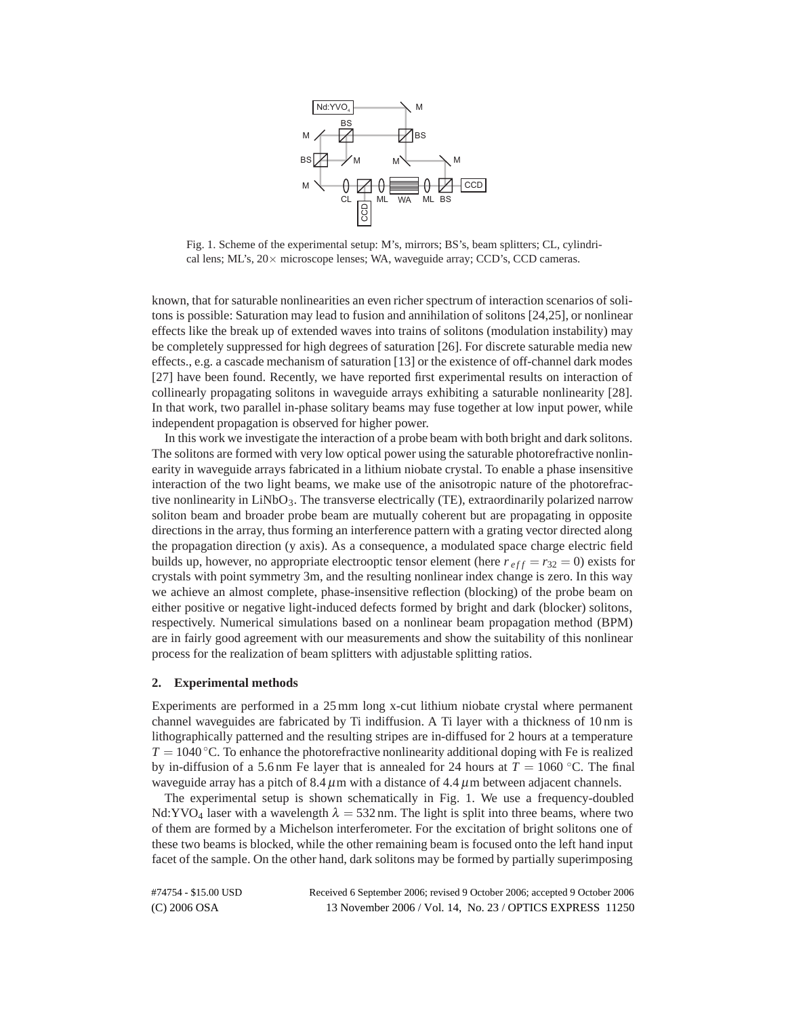

Fig. 1. Scheme of the experimental setup: M's, mirrors; BS's, beam splitters; CL, cylindrical lens; ML's, 20× microscope lenses; WA, waveguide array; CCD's, CCD cameras.

known, that for saturable nonlinearities an even richer spectrum of interaction scenarios of solitons is possible: Saturation may lead to fusion and annihilation of solitons [24,25], or nonlinear effects like the break up of extended waves into trains of solitons (modulation instability) may be completely suppressed for high degrees of saturation [26]. For discrete saturable media new effects., e.g. a cascade mechanism of saturation [13] or the existence of off-channel dark modes [27] have been found. Recently, we have reported first experimental results on interaction of collinearly propagating solitons in waveguide arrays exhibiting a saturable nonlinearity [28]. In that work, two parallel in-phase solitary beams may fuse together at low input power, while independent propagation is observed for higher power.

In this work we investigate the interaction of a probe beam with both bright and dark solitons. The solitons are formed with very low optical power using the saturable photorefractive nonlinearity in waveguide arrays fabricated in a lithium niobate crystal. To enable a phase insensitive interaction of the two light beams, we make use of the anisotropic nature of the photorefractive nonlinearity in LiNbO<sub>3</sub>. The transverse electrically (TE), extraordinarily polarized narrow soliton beam and broader probe beam are mutually coherent but are propagating in opposite directions in the array, thus forming an interference pattern with a grating vector directed along the propagation direction (y axis). As a consequence, a modulated space charge electric field builds up, however, no appropriate electrooptic tensor element (here  $r_{eff} = r_{32} = 0$ ) exists for crystals with point symmetry 3m, and the resulting nonlinear index change is zero. In this way we achieve an almost complete, phase-insensitive reflection (blocking) of the probe beam on either positive or negative light-induced defects formed by bright and dark (blocker) solitons, respectively. Numerical simulations based on a nonlinear beam propagation method (BPM) are in fairly good agreement with our measurements and show the suitability of this nonlinear process for the realization of beam splitters with adjustable splitting ratios.

### **2. Experimental methods**

Experiments are performed in a 25 mm long x-cut lithium niobate crystal where permanent channel waveguides are fabricated by Ti indiffusion. A Ti layer with a thickness of 10 nm is lithographically patterned and the resulting stripes are in-diffused for 2 hours at a temperature  $T = 1040$  °C. To enhance the photorefractive nonlinearity additional doping with Fe is realized by in-diffusion of a 5.6 nm Fe layer that is annealed for 24 hours at  $T = 1060$  °C. The final waveguide array has a pitch of  $8.4 \mu m$  with a distance of  $4.4 \mu m$  between adjacent channels.

The experimental setup is shown schematically in Fig. 1. We use a frequency-doubled Nd:YVO<sub>4</sub> laser with a wavelength  $\lambda = 532$  nm. The light is split into three beams, where two of them are formed by a Michelson interferometer. For the excitation of bright solitons one of these two beams is blocked, while the other remaining beam is focused onto the left hand input facet of the sample. On the other hand, dark solitons may be formed by partially superimposing

| #74754 - \$15.00 USD | Received 6 September 2006; revised 9 October 2006; accepted 9 October 2006 |  |
|----------------------|----------------------------------------------------------------------------|--|
| $(C)$ 2006 OSA       | 13 November 2006 / Vol. 14, No. 23 / OPTICS EXPRESS 11250                  |  |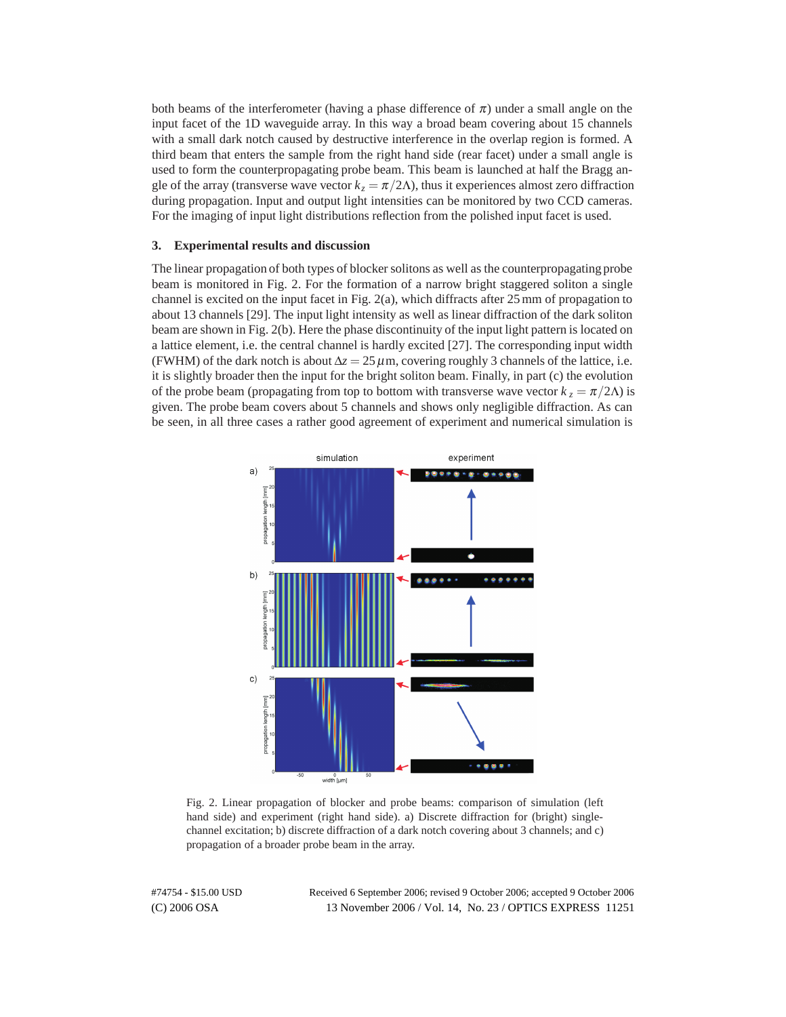both beams of the interferometer (having a phase difference of  $\pi$ ) under a small angle on the input facet of the 1D waveguide array. In this way a broad beam covering about 15 channels with a small dark notch caused by destructive interference in the overlap region is formed. A third beam that enters the sample from the right hand side (rear facet) under a small angle is used to form the counterpropagating probe beam. This beam is launched at half the Bragg angle of the array (transverse wave vector  $k_z = \pi/2\Lambda$ ), thus it experiences almost zero diffraction during propagation. Input and output light intensities can be monitored by two CCD cameras. For the imaging of input light distributions reflection from the polished input facet is used.

#### **3. Experimental results and discussion**

The linear propagation of both types of blocker solitons as well as the counterpropagating probe beam is monitored in Fig. 2. For the formation of a narrow bright staggered soliton a single channel is excited on the input facet in Fig. 2(a), which diffracts after 25 mm of propagation to about 13 channels [29]. The input light intensity as well as linear diffraction of the dark soliton beam are shown in Fig. 2(b). Here the phase discontinuity of the input light pattern is located on a lattice element, i.e. the central channel is hardly excited [27]. The corresponding input width (FWHM) of the dark notch is about  $\Delta z = 25 \,\mu$ m, covering roughly 3 channels of the lattice, i.e. it is slightly broader then the input for the bright soliton beam. Finally, in part (c) the evolution of the probe beam (propagating from top to bottom with transverse wave vector  $k_z = \pi/2\Lambda$ ) is given. The probe beam covers about 5 channels and shows only negligible diffraction. As can be seen, in all three cases a rather good agreement of experiment and numerical simulation is



Fig. 2. Linear propagation of blocker and probe beams: comparison of simulation (left hand side) and experiment (right hand side). a) Discrete diffraction for (bright) singlechannel excitation; b) discrete diffraction of a dark notch covering about 3 channels; and c) propagation of a broader probe beam in the array.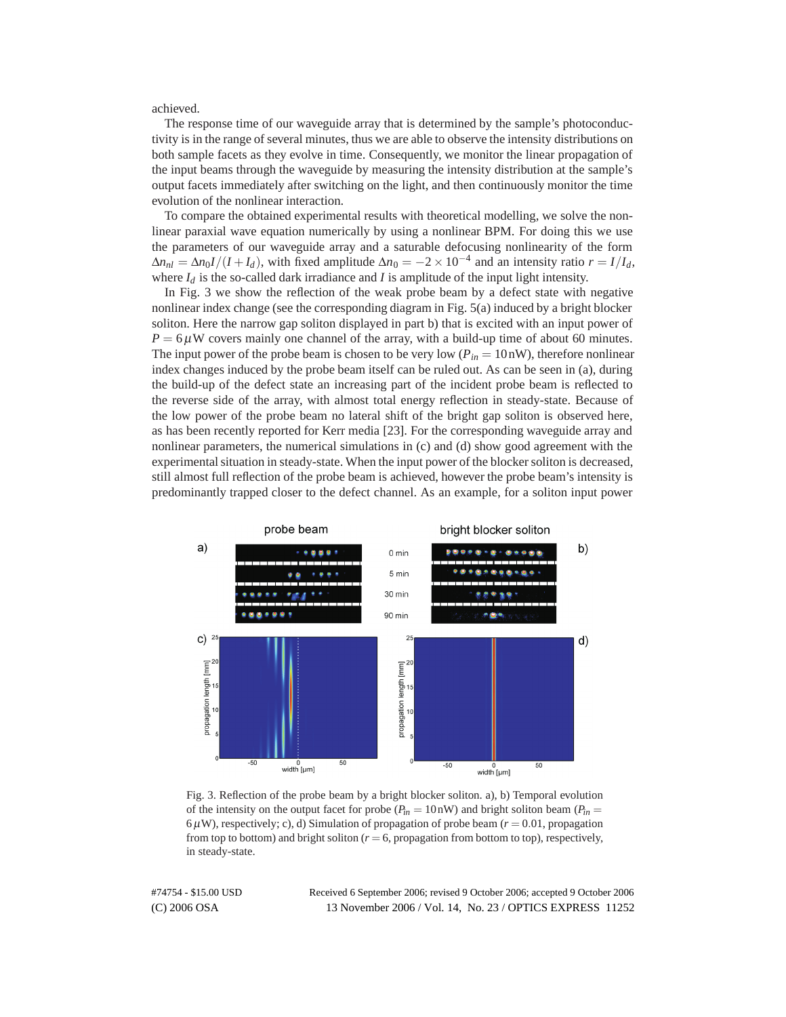achieved.

The response time of our waveguide array that is determined by the sample's photoconductivity is in the range of several minutes, thus we are able to observe the intensity distributions on both sample facets as they evolve in time. Consequently, we monitor the linear propagation of the input beams through the waveguide by measuring the intensity distribution at the sample's output facets immediately after switching on the light, and then continuously monitor the time evolution of the nonlinear interaction.

To compare the obtained experimental results with theoretical modelling, we solve the nonlinear paraxial wave equation numerically by using a nonlinear BPM. For doing this we use the parameters of our waveguide array and a saturable defocusing nonlinearity of the form  $\Delta n_{nl} = \Delta n_0 I / (I + I_d)$ , with fixed amplitude  $\Delta n_0 = -2 \times 10^{-4}$  and an intensity ratio  $r = I / I_d$ , where  $I_d$  is the so-called dark irradiance and  $I$  is amplitude of the input light intensity.

In Fig. 3 we show the reflection of the weak probe beam by a defect state with negative nonlinear index change (see the corresponding diagram in Fig. 5(a) induced by a bright blocker soliton. Here the narrow gap soliton displayed in part b) that is excited with an input power of  $P = 6 \mu$ W covers mainly one channel of the array, with a build-up time of about 60 minutes. The input power of the probe beam is chosen to be very low  $(P_{in} = 10 \text{ nW})$ , therefore nonlinear index changes induced by the probe beam itself can be ruled out. As can be seen in (a), during the build-up of the defect state an increasing part of the incident probe beam is reflected to the reverse side of the array, with almost total energy reflection in steady-state. Because of the low power of the probe beam no lateral shift of the bright gap soliton is observed here, as has been recently reported for Kerr media [23]. For the corresponding waveguide array and nonlinear parameters, the numerical simulations in (c) and (d) show good agreement with the experimental situation in steady-state. When the input power of the blocker soliton is decreased, still almost full reflection of the probe beam is achieved, however the probe beam's intensity is predominantly trapped closer to the defect channel. As an example, for a soliton input power



Fig. 3. Reflection of the probe beam by a bright blocker soliton. a), b) Temporal evolution of the intensity on the output facet for probe  $(P_{in} = 10 \text{ nW})$  and bright soliton beam  $(P_{in} = 10 \text{ mW})$  $6\,\mu$ W), respectively; c), d) Simulation of propagation of probe beam ( $r = 0.01$ , propagation from top to bottom) and bright soliton  $(r = 6)$ , propagation from bottom to top), respectively, in steady-state.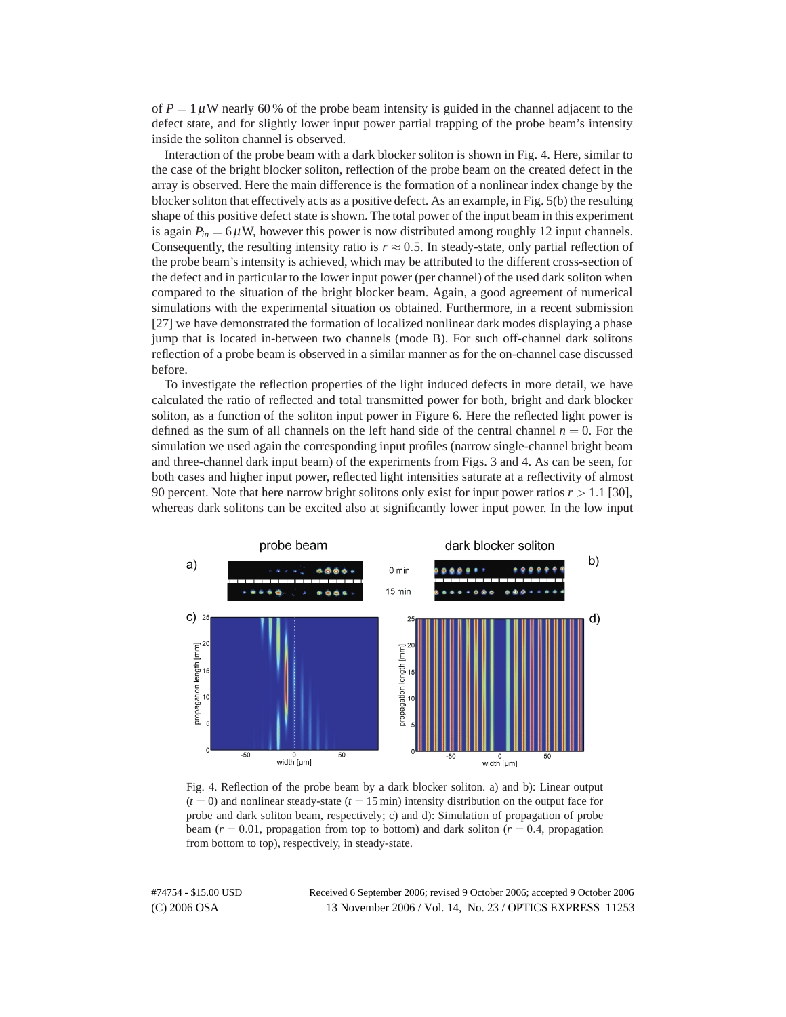of  $P = 1 \mu W$  nearly 60% of the probe beam intensity is guided in the channel adjacent to the defect state, and for slightly lower input power partial trapping of the probe beam's intensity inside the soliton channel is observed.

Interaction of the probe beam with a dark blocker soliton is shown in Fig. 4. Here, similar to the case of the bright blocker soliton, reflection of the probe beam on the created defect in the array is observed. Here the main difference is the formation of a nonlinear index change by the blocker soliton that effectively acts as a positive defect. As an example, in Fig. 5(b) the resulting shape of this positive defect state is shown. The total power of the input beam in this experiment is again  $P_{in} = 6 \mu$ W, however this power is now distributed among roughly 12 input channels. Consequently, the resulting intensity ratio is  $r \approx 0.5$ . In steady-state, only partial reflection of the probe beam's intensity is achieved, which may be attributed to the different cross-section of the defect and in particular to the lower input power (per channel) of the used dark soliton when compared to the situation of the bright blocker beam. Again, a good agreement of numerical simulations with the experimental situation os obtained. Furthermore, in a recent submission [27] we have demonstrated the formation of localized nonlinear dark modes displaying a phase jump that is located in-between two channels (mode B). For such off-channel dark solitons reflection of a probe beam is observed in a similar manner as for the on-channel case discussed before.

To investigate the reflection properties of the light induced defects in more detail, we have calculated the ratio of reflected and total transmitted power for both, bright and dark blocker soliton, as a function of the soliton input power in Figure 6. Here the reflected light power is defined as the sum of all channels on the left hand side of the central channel  $n = 0$ . For the simulation we used again the corresponding input profiles (narrow single-channel bright beam and three-channel dark input beam) of the experiments from Figs. 3 and 4. As can be seen, for both cases and higher input power, reflected light intensities saturate at a reflectivity of almost 90 percent. Note that here narrow bright solitons only exist for input power ratios *r >* 1*.*1 [30], whereas dark solitons can be excited also at significantly lower input power. In the low input



Fig. 4. Reflection of the probe beam by a dark blocker soliton. a) and b): Linear output  $(t = 0)$  and nonlinear steady-state  $(t = 15 \text{ min})$  intensity distribution on the output face for probe and dark soliton beam, respectively; c) and d): Simulation of propagation of probe beam ( $r = 0.01$ , propagation from top to bottom) and dark soliton ( $r = 0.4$ , propagation from bottom to top), respectively, in steady-state.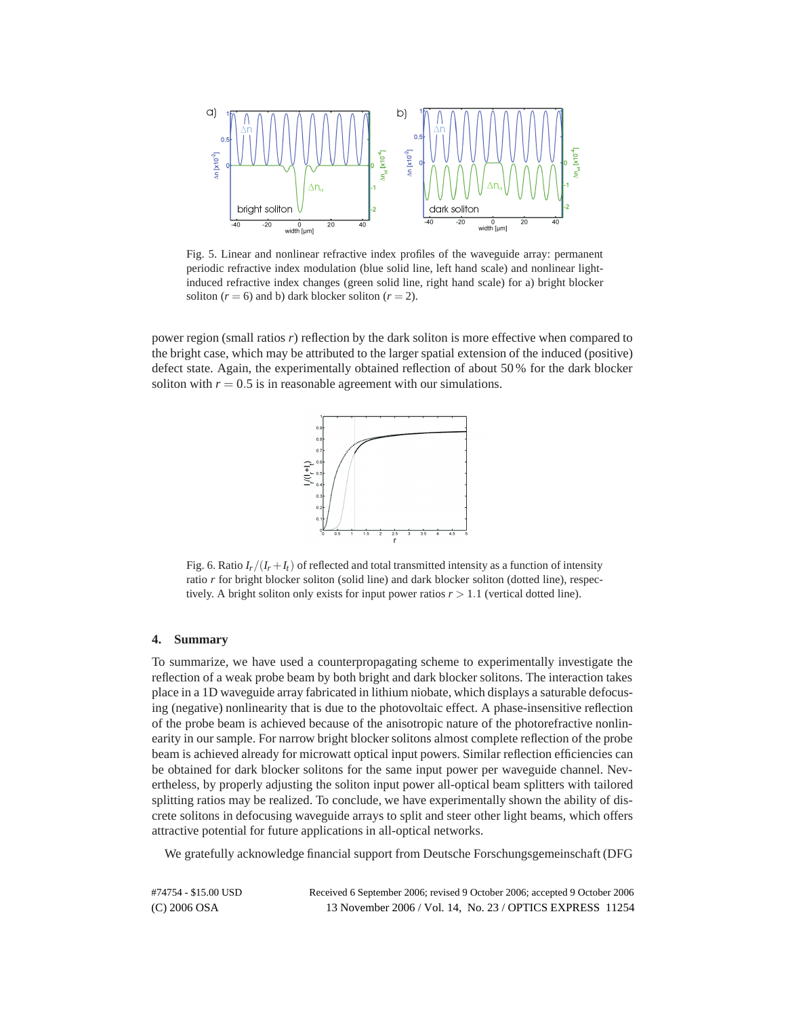

Fig. 5. Linear and nonlinear refractive index profiles of the waveguide array: permanent periodic refractive index modulation (blue solid line, left hand scale) and nonlinear lightinduced refractive index changes (green solid line, right hand scale) for a) bright blocker soliton  $(r = 6)$  and b) dark blocker soliton  $(r = 2)$ .

power region (small ratios *r*) reflection by the dark soliton is more effective when compared to the bright case, which may be attributed to the larger spatial extension of the induced (positive) defect state. Again, the experimentally obtained reflection of about 50 % for the dark blocker soliton with  $r = 0.5$  is in reasonable agreement with our simulations.



Fig. 6. Ratio  $I_r/(I_r + I_t)$  of reflected and total transmitted intensity as a function of intensity ratio *r* for bright blocker soliton (solid line) and dark blocker soliton (dotted line), respectively. A bright soliton only exists for input power ratios  $r > 1.1$  (vertical dotted line).

#### **4. Summary**

To summarize, we have used a counterpropagating scheme to experimentally investigate the reflection of a weak probe beam by both bright and dark blocker solitons. The interaction takes place in a 1D waveguide array fabricated in lithium niobate, which displays a saturable defocusing (negative) nonlinearity that is due to the photovoltaic effect. A phase-insensitive reflection of the probe beam is achieved because of the anisotropic nature of the photorefractive nonlinearity in our sample. For narrow bright blocker solitons almost complete reflection of the probe beam is achieved already for microwatt optical input powers. Similar reflection efficiencies can be obtained for dark blocker solitons for the same input power per waveguide channel. Nevertheless, by properly adjusting the soliton input power all-optical beam splitters with tailored splitting ratios may be realized. To conclude, we have experimentally shown the ability of discrete solitons in defocusing waveguide arrays to split and steer other light beams, which offers attractive potential for future applications in all-optical networks.

We gratefully acknowledge financial support from Deutsche Forschungsgemeinschaft (DFG

| #74754 - \$15.00 USD | Received 6 September 2006; revised 9 October 2006; accepted 9 October 2006 |  |
|----------------------|----------------------------------------------------------------------------|--|
| $(C)$ 2006 OSA       | 13 November 2006 / Vol. 14, No. 23 / OPTICS EXPRESS 11254                  |  |